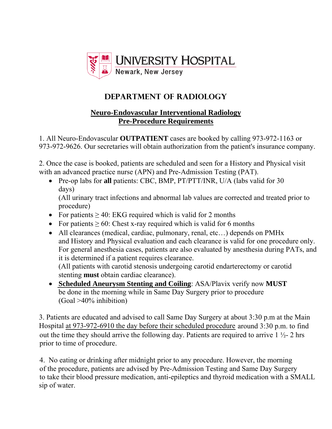

## **DEPARTMENT OF RADIOLOGY**

## **Neuro-Endovascular Interventional Radiology Pre-Procedure Requirements**

1. All Neuro-Endovascular **OUTPATIENT** cases are booked by calling 973-972-1163 or 973-972-9626. Our secretaries will obtain authorization from the patient's insurance company.

2. Once the case is booked, patients are scheduled and seen for a History and Physical visit with an advanced practice nurse (APN) and Pre-Admission Testing (PAT).

- Pre-op labs for **all** patients: CBC, BMP, PT/PTT/INR, U/A (labs valid for 30 days) (All urinary tract infections and abnormal lab values are corrected and treated prior to
- procedure) • For patients  $\geq 40$ : EKG required which is valid for 2 months
- For patients  $\geq 60$ : Chest x-ray required which is valid for 6 months
- All clearances (medical, cardiac, pulmonary, renal, etc…) depends on PMHx and History and Physical evaluation and each clearance is valid for one procedure only. For general anesthesia cases, patients are also evaluated by anesthesia during PATs, and it is determined if a patient requires clearance. (All patients with carotid stenosis undergoing carotid endarterectomy or carotid

stenting **must** obtain cardiac clearance).

 **Scheduled Aneurysm Stenting and Coiling**: ASA/Plavix verify now **MUST** be done in the morning while in Same Day Surgery prior to procedure (Goal >40% inhibition)

3. Patients are educated and advised to call Same Day Surgery at about 3:30 p.m at the Main Hospital at 973-972-6910 the day before their scheduled procedure around 3:30 p.m. to find out the time they should arrive the following day. Patients are required to arrive  $1\frac{1}{2}$ - 2 hrs prior to time of procedure.

4. No eating or drinking after midnight prior to any procedure. However, the morning of the procedure, patients are advised by Pre-Admission Testing and Same Day Surgery to take their blood pressure medication, anti-epileptics and thyroid medication with a SMALL sip of water.